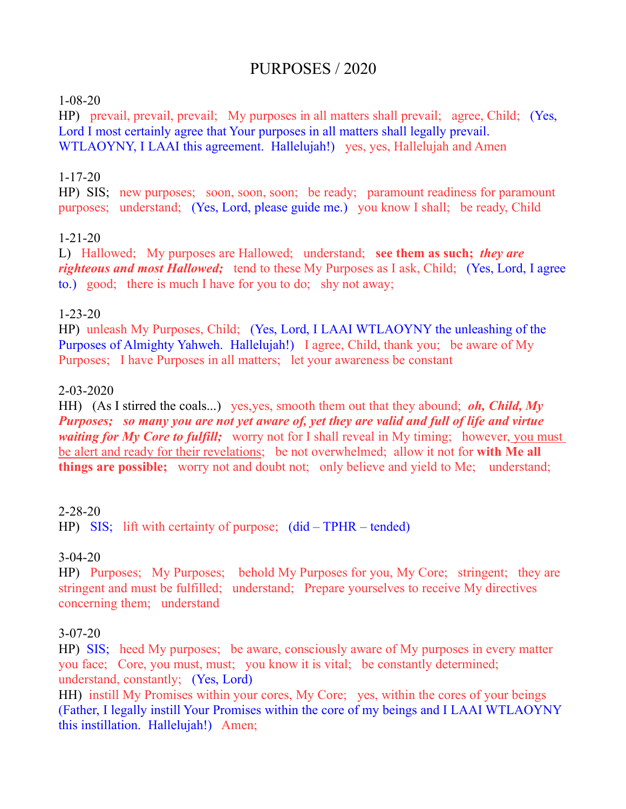# PURPOSES / 2020

#### 1-08-20

HP) prevail, prevail, prevail; My purposes in all matters shall prevail; agree, Child; (Yes, Lord I most certainly agree that Your purposes in all matters shall legally prevail. WTLAOYNY, I LAAI this agreement. Hallelujah!) yes, yes, Hallelujah and Amen

#### 1-17-20

HP) SIS; new purposes; soon, soon, soon; be ready; paramount readiness for paramount purposes; understand; (Yes, Lord, please guide me.) you know I shall; be ready, Child

#### 1-21-20

L) Hallowed; My purposes are Hallowed; understand; **see them as such;** *they are righteous and most Hallowed*; tend to these My Purposes as I ask, Child; (Yes, Lord, I agree to.) good; there is much I have for you to do; shy not away;

#### 1-23-20

HP) unleash My Purposes, Child; (Yes, Lord, I LAAI WTLAOYNY the unleashing of the Purposes of Almighty Yahweh. Hallelujah!) I agree, Child, thank you; be aware of My Purposes; I have Purposes in all matters; let your awareness be constant

#### 2-03-2020

HH) (As I stirred the coals...) yes,yes, smooth them out that they abound; *oh, Child, My Purposes; so many you are not yet aware of, yet they are valid and full of life and virtue waiting for My Core to fulfill*; worry not for I shall reveal in My timing; however, you must be alert and ready for their revelations; be not overwhelmed; allow it not for **with Me all things are possible;** worry not and doubt not; only believe and yield to Me; understand;

#### 2-28-20

HP) SIS; lift with certainty of purpose; (did – TPHR – tended)

#### 3-04-20

HP) Purposes; My Purposes; behold My Purposes for you, My Core; stringent; they are stringent and must be fulfilled; understand; Prepare yourselves to receive My directives concerning them; understand

#### 3-07-20

HP) SIS; heed My purposes; be aware, consciously aware of My purposes in every matter you face; Core, you must, must; you know it is vital; be constantly determined; understand, constantly; (Yes, Lord)

HH) instill My Promises within your cores, My Core; yes, within the cores of your beings (Father, I legally instill Your Promises within the core of my beings and I LAAI WTLAOYNY this instillation. Hallelujah!) Amen;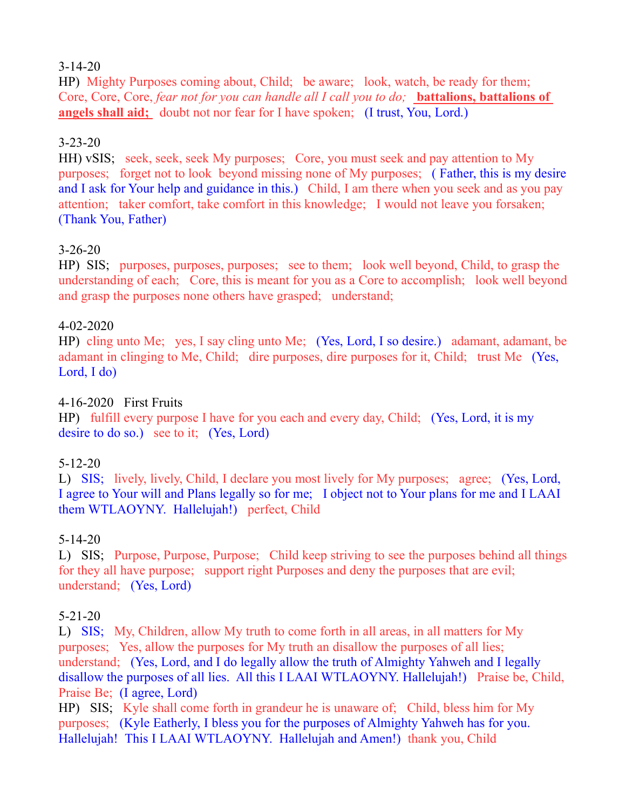### 3-14-20

HP) Mighty Purposes coming about, Child; be aware; look, watch, be ready for them; Core, Core, Core, *fear not for you can handle all I call you to do;* **battalions, battalions of angels shall aid;** doubt not nor fear for I have spoken; (I trust, You, Lord.)

## 3-23-20

HH) vSIS; seek, seek, seek My purposes; Core, you must seek and pay attention to My purposes; forget not to look beyond missing none of My purposes; ( Father, this is my desire and I ask for Your help and guidance in this.) Child, I am there when you seek and as you pay attention; taker comfort, take comfort in this knowledge; I would not leave you forsaken; (Thank You, Father)

## 3-26-20

HP) SIS; purposes, purposes, purposes; see to them; look well beyond, Child, to grasp the understanding of each; Core, this is meant for you as a Core to accomplish; look well beyond and grasp the purposes none others have grasped; understand;

#### 4-02-2020

HP) cling unto Me; yes, I say cling unto Me; (Yes, Lord, I so desire.) adamant, adamant, be adamant in clinging to Me, Child; dire purposes, dire purposes for it, Child; trust Me (Yes, Lord, I do)

### 4-16-2020 First Fruits

HP) fulfill every purpose I have for you each and every day, Child; (Yes, Lord, it is my desire to do so.) see to it; (Yes, Lord)

## 5-12-20

L) SIS; lively, lively, Child, I declare you most lively for My purposes; agree; (Yes, Lord, I agree to Your will and Plans legally so for me; I object not to Your plans for me and I LAAI them WTLAOYNY. Hallelujah!) perfect, Child

## 5-14-20

L) SIS; Purpose, Purpose, Purpose; Child keep striving to see the purposes behind all things for they all have purpose; support right Purposes and deny the purposes that are evil; understand; (Yes, Lord)

## 5-21-20

L) SIS; My, Children, allow My truth to come forth in all areas, in all matters for My purposes; Yes, allow the purposes for My truth an disallow the purposes of all lies; understand; (Yes, Lord, and I do legally allow the truth of Almighty Yahweh and I legally disallow the purposes of all lies. All this I LAAI WTLAOYNY. Hallelujah!) Praise be, Child, Praise Be; (I agree, Lord)

HP) SIS; Kyle shall come forth in grandeur he is unaware of; Child, bless him for My purposes; (Kyle Eatherly, I bless you for the purposes of Almighty Yahweh has for you. Hallelujah! This I LAAI WTLAOYNY. Hallelujah and Amen!) thank you, Child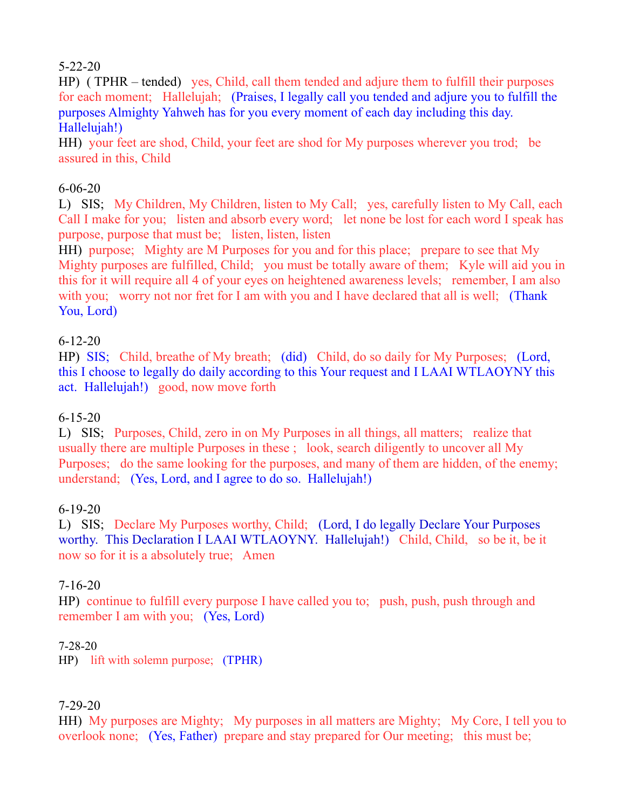## 5-22-20

HP) ( TPHR – tended) yes, Child, call them tended and adjure them to fulfill their purposes for each moment; Hallelujah; (Praises, I legally call you tended and adjure you to fulfill the purposes Almighty Yahweh has for you every moment of each day including this day. Hallelujah!)

HH) your feet are shod, Child, your feet are shod for My purposes wherever you trod; be assured in this, Child

#### 6-06-20

L) SIS; My Children, My Children, listen to My Call; yes, carefully listen to My Call, each Call I make for you; listen and absorb every word; let none be lost for each word I speak has purpose, purpose that must be; listen, listen, listen

HH) purpose; Mighty are M Purposes for you and for this place; prepare to see that My Mighty purposes are fulfilled, Child; you must be totally aware of them; Kyle will aid you in this for it will require all 4 of your eyes on heightened awareness levels; remember, I am also with you; worry not nor fret for I am with you and I have declared that all is well; (Thank You, Lord)

## 6-12-20

HP) SIS; Child, breathe of My breath; (did) Child, do so daily for My Purposes; (Lord, this I choose to legally do daily according to this Your request and I LAAI WTLAOYNY this act. Hallelujah!) good, now move forth

#### 6-15-20

L) SIS; Purposes, Child, zero in on My Purposes in all things, all matters; realize that usually there are multiple Purposes in these ; look, search diligently to uncover all My Purposes; do the same looking for the purposes, and many of them are hidden, of the enemy; understand; (Yes, Lord, and I agree to do so. Hallelujah!)

#### 6-19-20

L) SIS; Declare My Purposes worthy, Child; (Lord, I do legally Declare Your Purposes worthy. This Declaration I LAAI WTLAOYNY. Hallelujah!) Child, Child, so be it, be it now so for it is a absolutely true; Amen

#### 7-16-20

HP) continue to fulfill every purpose I have called you to; push, push, push through and remember I am with you; (Yes, Lord)

#### 7-28-20

HP) lift with solemn purpose; (TPHR)

## 7-29-20

HH) My purposes are Mighty; My purposes in all matters are Mighty; My Core, I tell you to overlook none; (Yes, Father) prepare and stay prepared for Our meeting; this must be;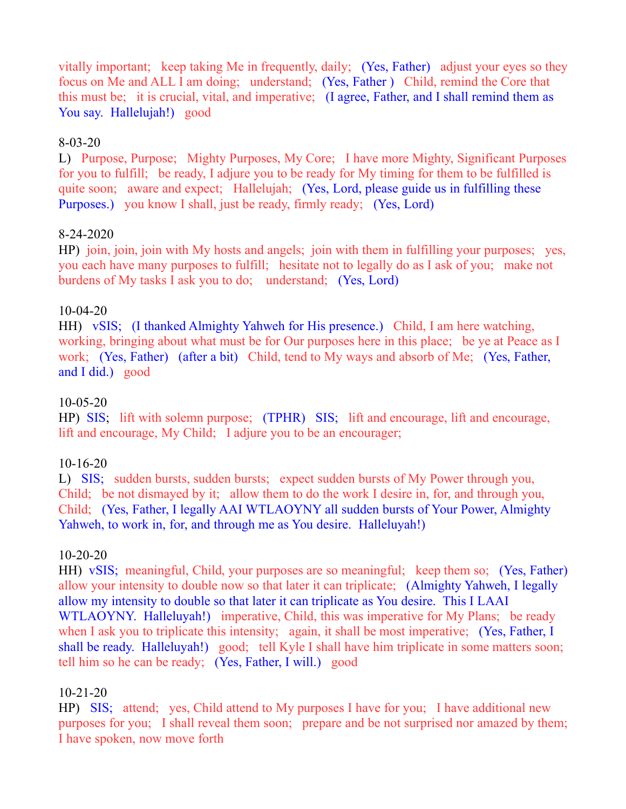vitally important; keep taking Me in frequently, daily; (Yes, Father) adjust your eyes so they focus on Me and ALL I am doing; understand; (Yes, Father ) Child, remind the Core that this must be; it is crucial, vital, and imperative; (I agree, Father, and I shall remind them as You say. Hallelujah!) good

### 8-03-20

L) Purpose, Purpose; Mighty Purposes, My Core; I have more Mighty, Significant Purposes for you to fulfill; be ready, I adjure you to be ready for My timing for them to be fulfilled is quite soon; aware and expect; Hallelujah; (Yes, Lord, please guide us in fulfilling these Purposes.) you know I shall, just be ready, firmly ready; (Yes, Lord)

#### 8-24-2020

HP) join, join, join with My hosts and angels; join with them in fulfilling your purposes; yes, you each have many purposes to fulfill; hesitate not to legally do as I ask of you; make not burdens of My tasks I ask you to do; understand; (Yes, Lord)

#### 10-04-20

HH) vSIS; (I thanked Almighty Yahweh for His presence.) Child, I am here watching, working, bringing about what must be for Our purposes here in this place; be ye at Peace as I work; (Yes, Father) (after a bit) Child, tend to My ways and absorb of Me; (Yes, Father, and I did.) good

## 10-05-20

HP) SIS; lift with solemn purpose; (TPHR) SIS; lift and encourage, lift and encourage, lift and encourage, My Child; I adjure you to be an encourager;

#### 10-16-20

L) SIS; sudden bursts, sudden bursts; expect sudden bursts of My Power through you, Child; be not dismayed by it; allow them to do the work I desire in, for, and through you, Child; (Yes, Father, I legally AAI WTLAOYNY all sudden bursts of Your Power, Almighty Yahweh, to work in, for, and through me as You desire. Halleluyah!)

## 10-20-20

HH) vSIS; meaningful, Child, your purposes are so meaningful; keep them so; (Yes, Father) allow your intensity to double now so that later it can triplicate; (Almighty Yahweh, I legally allow my intensity to double so that later it can triplicate as You desire. This I LAAI WTLAOYNY. Halleluyah!) imperative, Child, this was imperative for My Plans; be ready when I ask you to triplicate this intensity; again, it shall be most imperative; (Yes, Father, I shall be ready. Halleluyah!) good; tell Kyle I shall have him triplicate in some matters soon; tell him so he can be ready; (Yes, Father, I will.) good

## 10-21-20

HP) SIS; attend; yes, Child attend to My purposes I have for you; I have additional new purposes for you; I shall reveal them soon; prepare and be not surprised nor amazed by them; I have spoken, now move forth